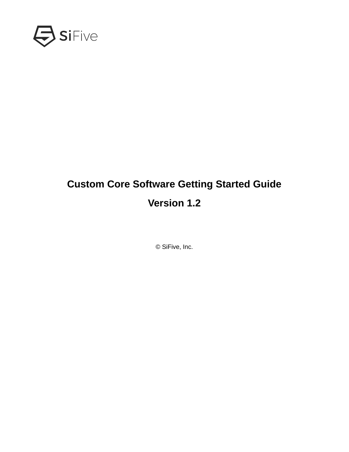

# **Custom Core Software Getting Started Guide Version 1.2**

© SiFive, Inc.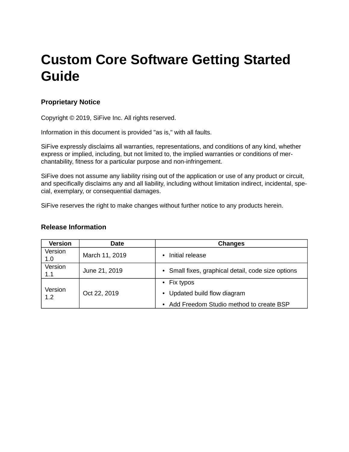# **Custom Core Software Getting Started Guide**

### **Proprietary Notice**

Copyright © 2019, SiFive Inc. All rights reserved.

Information in this document is provided "as is," with all faults.

SiFive expressly disclaims all warranties, representations, and conditions of any kind, whether express or implied, including, but not limited to, the implied warranties or conditions of merchantability, fitness for a particular purpose and non-infringement.

SiFive does not assume any liability rising out of the application or use of any product or circuit, and specifically disclaims any and all liability, including without limitation indirect, incidental, special, exemplary, or consequential damages.

SiFive reserves the right to make changes without further notice to any products herein.

#### **Release Information**

| <b>Version</b> | Date           | <b>Changes</b>                                                                                            |  |
|----------------|----------------|-----------------------------------------------------------------------------------------------------------|--|
| Version<br>1.0 | March 11, 2019 | Initial release<br>$\bullet$                                                                              |  |
| Version<br>1.1 | June 21, 2019  | • Small fixes, graphical detail, code size options                                                        |  |
| Version<br>1.2 | Oct 22, 2019   | $\cdot$ Fix typos<br>• Updated build flow diagram<br>Add Freedom Studio method to create BSP<br>$\bullet$ |  |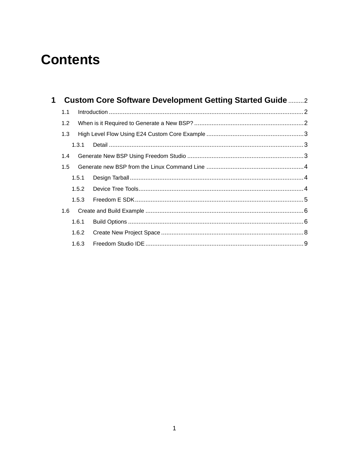# **Contents**

| $\mathbf 1$ |               | <b>Custom Core Software Development Getting Started Guide </b> |  |
|-------------|---------------|----------------------------------------------------------------|--|
|             | 1.1           |                                                                |  |
|             | 1.2           |                                                                |  |
|             | 1.3           |                                                                |  |
|             | 1.3.1         |                                                                |  |
|             | 1.4           |                                                                |  |
|             | $1.5^{\circ}$ |                                                                |  |
|             | 1.5.1         |                                                                |  |
|             | 1.5.2         |                                                                |  |
|             | 1.5.3         |                                                                |  |
|             | 1.6           |                                                                |  |
|             | 1.6.1         |                                                                |  |
|             | 1.6.2         |                                                                |  |
|             | 1.6.3         |                                                                |  |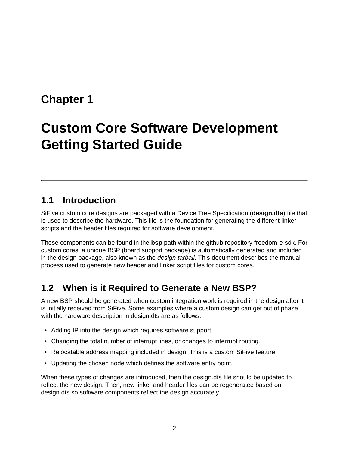# <span id="page-3-0"></span>**[Chapter 1](#page-3-0)**

# **[Custom Core Software Development](#page-3-0) Getting Started Guide**

## <span id="page-3-1"></span>**[1.1 Introduction](#page-3-1)**

SiFive custom core designs are packaged with a Device Tree Specification (**design.dts**) file that is used to describe the hardware. This file is the foundation for generating the different linker scripts and the header files required for software development.

These components can be found in the **bsp** path within the github repository [freedom-e-sdk](https://github.com/sifive/freedom-e-sdk). For custom cores, a unique BSP (board support package) is automatically generated and included in the design package, also known as the *design tarball*. This document describes the manual process used to generate new header and linker script files for custom cores.

## <span id="page-3-2"></span>**[1.2 When is it Required to Generate a New BSP?](#page-3-2)**

A new BSP should be generated when custom integration work is required in the design after it is initially received from SiFive. Some examples where a custom design can get out of phase with the hardware description in design.dts are as follows:

- Adding IP into the design which requires software support.
- Changing the total number of interrupt lines, or changes to interrupt routing.
- Relocatable address mapping included in design. This is a custom SiFive feature.
- Updating the chosen node which defines the software entry point.

When these types of changes are introduced, then the design.dts file should be updated to reflect the new design. Then, new linker and header files can be regenerated based on design.dts so software components reflect the design accurately.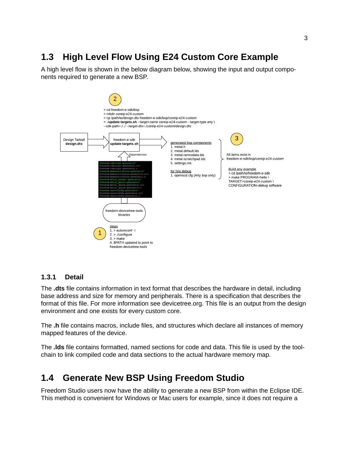## <span id="page-4-0"></span>**[1.3 High Level Flow Using E24 Custom Core Example](#page-4-0)**

A high level flow is shown in the below diagram below, showing the input and output components required to generate a new BSP.



#### <span id="page-4-1"></span>**[1.3.1 Detail](#page-4-1)**

The **.dts** file contains information in text format that describes the hardware in detail, including base address and size for memory and peripherals. There is a specification that describes the format of this file. For more information see [devicetree.org](https://www.devicetree.org/). This file is an output from the design environment and one exists for every custom core.

The **.h** file contains macros, include files, and structures which declare all instances of memory mapped features of the device.

The **.lds** file contains formatted, named sections for code and data. This file is used by the toolchain to link compiled code and data sections to the actual hardware memory map.

### <span id="page-4-2"></span>**[1.4 Generate New BSP Using Freedom Studio](#page-4-2)**

Freedom Studio users now have the ability to generate a new BSP from within the Eclipse IDE. This method is convenient for Windows or Mac users for example, since it does not require a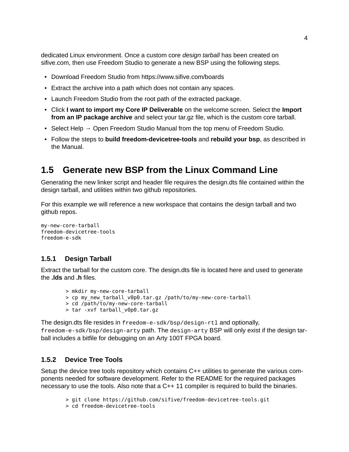dedicated Linux environment. Once a custom core *design tarball* has been created on sifive.com, then use Freedom Studio to generate a new BSP using the following steps.

- Download Freedom Studio from<https://www.sifive.com/boards>
- Extract the archive into a path which does not contain any spaces.
- Launch Freedom Studio from the root path of the extracted package.
- Click **I want to import my Core IP Deliverable** on the welcome screen. Select the **Import from an IP package archive** and select your tar.gz file, which is the custom core tarball.
- Select Help  $\rightarrow$  Open Freedom Studio Manual from the top menu of Freedom Studio.
- Follow the steps to **build freedom-devicetree-tools** and **rebuild your bsp**, as described in the Manual.

### <span id="page-5-0"></span>**[1.5 Generate new BSP from the Linux Command Line](#page-5-0)**

Generating the new linker script and header file requires the design.dts file contained within the design tarball, and utilities within two github repositories.

For this example we will reference a new workspace that contains the design tarball and two github repos.

```
my-new-core-tarball
freedom-devicetree-tools
freedom-e-sdk
```
#### <span id="page-5-1"></span>**[1.5.1 Design Tarball](#page-5-1)**

Extract the tarball for the custom core. The design.dts file is located here and used to generate the **.lds** and **.h** files.

- > mkdir my-new-core-tarball
- > cp my new tarball v0p0.tar.gz /path/to/my-new-core-tarball
- > cd /path/to/my-new-core-tarball
- > tar -xvf tarball\_v0p0.tar.gz

The design.dts file resides in freedom-e-sdk/bsp/design-rtl and optionally, freedom-e-sdk/bsp/design-arty path. The design-arty BSP will only exist if the design tarball includes a bitfile for debugging on an Arty 100T FPGA board.

#### <span id="page-5-2"></span>**[1.5.2 Device Tree Tools](#page-5-2)**

Setup the device tree tools repository which contains C++ utilities to generate the various components needed for software development. Refer to the README for the required packages necessary to use the tools. Also note that a C++ 11 compiler is required to build the binaries.

- > git clone https://github.com/sifive/freedom-devicetree-tools.git
- > cd freedom-devicetree-tools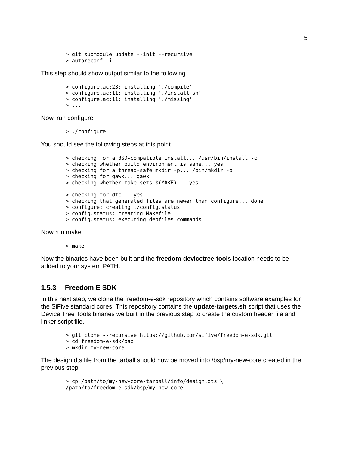```
> git submodule update --init --recursive
> autoreconf -i
```
This step should show output similar to the following

```
> configure.ac:23: installing './compile'
> configure.ac:11: installing './install-sh'
> configure.ac:11: installing './missing'
> ...
```
Now, run configure

> ./configure

You should see the following steps at this point

```
> checking for a BSD-compatible install... /usr/bin/install -c
> checking whether build environment is sane... yes
> checking for a thread-safe mkdir -p... /bin/mkdir -p
> checking for gawk... gawk
> checking whether make sets $(MAKE)... yes
...
> checking for dtc... yes
> checking that generated files are newer than configure... done
> configure: creating ./config.status
> config.status: creating Makefile
> config.status: executing depfiles commands
```
Now run make

> make

Now the binaries have been built and the **freedom-devicetree-tools** location needs to be added to your system PATH.

#### <span id="page-6-0"></span>**[1.5.3 Freedom E SDK](#page-6-0)**

In this next step, we clone the freedom-e-sdk repository which contains software examples for the SiFive standard cores. This repository contains the **update-targets.sh** script that uses the Device Tree Tools binaries we built in the previous step to create the custom header file and linker script file.

- > git clone --recursive https://github.com/sifive/freedom-e-sdk.git
- > cd freedom-e-sdk/bsp
- > mkdir my-new-core

The design.dts file from the tarball should now be moved into /bsp/my-new-core created in the previous step.

```
> cp /path/to/my-new-core-tarball/info/design.dts \
/path/to/freedom-e-sdk/bsp/my-new-core
```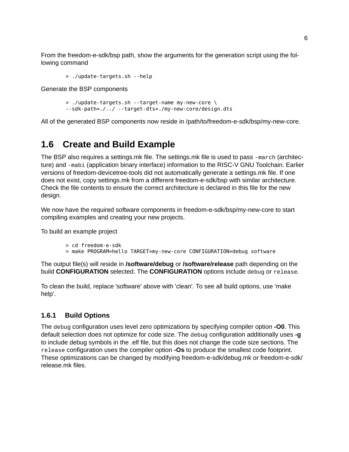From the freedom-e-sdk/bsp path, show the arguments for the generation script using the following command

> ./update-targets.sh --help

Generate the BSP components

```
> ./update-targets.sh --target-name my-new-core \
--sdk-path=./../ --target-dts=./my-new-core/design.dts
```
All of the generated BSP components now reside in /path/to/freedom-e-sdk/bsp/my-new-core.

## <span id="page-7-0"></span>**[1.6 Create and Build Example](#page-7-0)**

The BSP also requires a settings.mk file. The settings.mk file is used to pass -march (architecture) and -mabi (application binary interface) information to the RISC-V GNU Toolchain. Earlier versions of freedom-devicetree-tools did not automatically generate a settings.mk file. If one does not exist, copy settings.mk from a different freedom-e-sdk/bsp with similar architecture. Check the file contents to ensure the correct architecture is declared in this file for the new design.

We now have the required software components in freedom-e-sdk/bsp/my-new-core to start compiling examples and creating your new projects.

To build an example project

```
> cd freedom-e-sdk
```
> make PROGRAM=hello TARGET=my-new-core CONFIGURATION=debug software

The output file(s) will reside in **/software/debug** or **/software/release** path depending on the build **CONFIGURATION** selected. The **CONFIGURATION** options include debug or release.

To clean the build, replace 'software' above with 'clean'. To see all build options, use 'make help'.

#### <span id="page-7-1"></span>**[1.6.1 Build Options](#page-7-1)**

The debug configuration uses level zero optimizations by specifying compiler option **-O0**. This default selection does not optimize for code size. The debug configuration additionally uses **-g** to include debug symbols in the .elf file, but this does not change the code size sections. The release configuration uses the compiler option **-Os** to produce the smallest code footprint. These optimizations can be changed by modifying freedom-e-sdk/debug.mk or freedom-e-sdk/ release.mk files.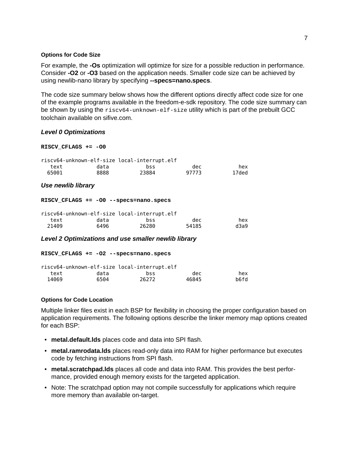#### <span id="page-8-0"></span>**[Options for Code Size](#page-8-0)**

For example, the **-Os** optimization will optimize for size for a possible reduction in performance. Consider **-O2** or **-O3** based on the application needs. Smaller code size can be achieved by using newlib-nano library by specifying **--specs=nano.specs**.

The code size summary below shows how the different options directly affect code size for one of the example programs available in the freedom-e-sdk repository. The code size summary can be shown by using the riscv64-unknown-elf-size utility which is part of the prebuilt GCC toolchain available on sifive.com.

#### *Level 0 Optimizations*

#### **RISCV\_CFLAGS += -O0**

|       | riscv64-unknown-elf-size local-interrupt.elf |       |       |       |
|-------|----------------------------------------------|-------|-------|-------|
| text  | data                                         | bss   | dec   | hex   |
| 65001 | 8888                                         | 23884 | 97773 | 17ded |

#### *Use newlib library*

#### **RISCV\_CFLAGS += -O0 --specs=nano.specs**

|       | riscv64-unknown-elf-size local-interrupt.elf |       |       |      |
|-------|----------------------------------------------|-------|-------|------|
| text  | data                                         | bss   | dec   | hex  |
| 21409 | 6496                                         | 26280 | 54185 | d3a9 |

#### *Level 2 Optimizations and use smaller newlib library*

#### **RISCV\_CFLAGS += -O2 --specs=nano.specs**

|       |      | riscv64-unknown-elf-size local-interrupt.elf |       |      |
|-------|------|----------------------------------------------|-------|------|
| text  | data | bss                                          | dec   | hex  |
| 14069 | 6504 | 26272                                        | 46845 | b6fd |

#### <span id="page-8-1"></span>**[Options for Code Location](#page-8-1)**

Multiple linker files exist in each BSP for flexibility in choosing the proper configuration based on application requirements. The following options describe the linker memory map options created for each BSP:

- **metal.default.lds** places code and data into SPI flash.
- **metal.ramrodata.lds** places read-only data into RAM for higher performance but executes code by fetching instructions from SPI flash.
- **metal.scratchpad.lds** places all code and data into RAM. This provides the best performance, provided enough memory exists for the targeted application.
- Note: The scratchpad option may not compile successfully for applications which require more memory than available on-target.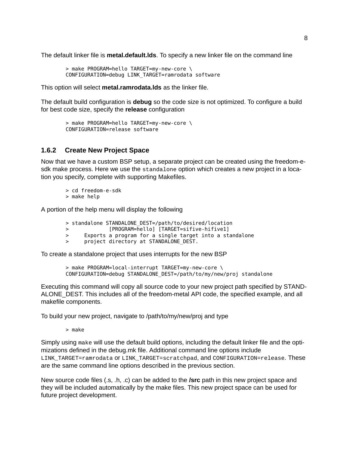The default linker file is **metal.default.lds**. To specify a new linker file on the command line

> make PROGRAM=hello TARGET=my-new-core \ CONFIGURATION=debug LINK\_TARGET=ramrodata software

This option will select **metal.ramrodata.lds** as the linker file.

The default build configuration is **debug** so the code size is not optimized. To configure a build for best code size, specify the **release** configuration

```
> make PROGRAM=hello TARGET=my-new-core \
CONFIGURATION=release software
```
#### <span id="page-9-0"></span>**[1.6.2 Create New Project Space](#page-9-0)**

Now that we have a custom BSP setup, a separate project can be created using the freedom-esdk make process. Here we use the standalone option which creates a new project in a location you specify, complete with supporting Makefiles.

> cd freedom-e-sdk

> make help

A portion of the help menu will display the following

- > standalone STANDALONE\_DEST=/path/to/desired/location
- > [PROGRAM=hello] [TARGET=sifive-hifive1]
- > Exports a program for a single target into a standalone
- > project directory at STANDALONE\_DEST.

To create a standalone project that uses interrupts for the new BSP

> make PROGRAM=local-interrupt TARGET=my-new-core \ CONFIGURATION=debug STANDALONE\_DEST=/path/to/my/new/proj standalone

Executing this command will copy all source code to your new project path specified by STAND-ALONE\_DEST. This includes all of the freedom-metal API code, the specified example, and all makefile components.

To build your new project, navigate to /path/to/my/new/proj and type

> make

Simply using make will use the default build options, including the default linker file and the optimizations defined in the debug.mk file. Additional command line options include LINK\_TARGET=ramrodata or LINK\_TARGET=scratchpad, and CONFIGURATION=release. These are the same command line options described in the previous section.

New source code files (.s, .h, .c) can be added to the **/src** path in this new project space and they will be included automatically by the make files. This new project space can be used for future project development.